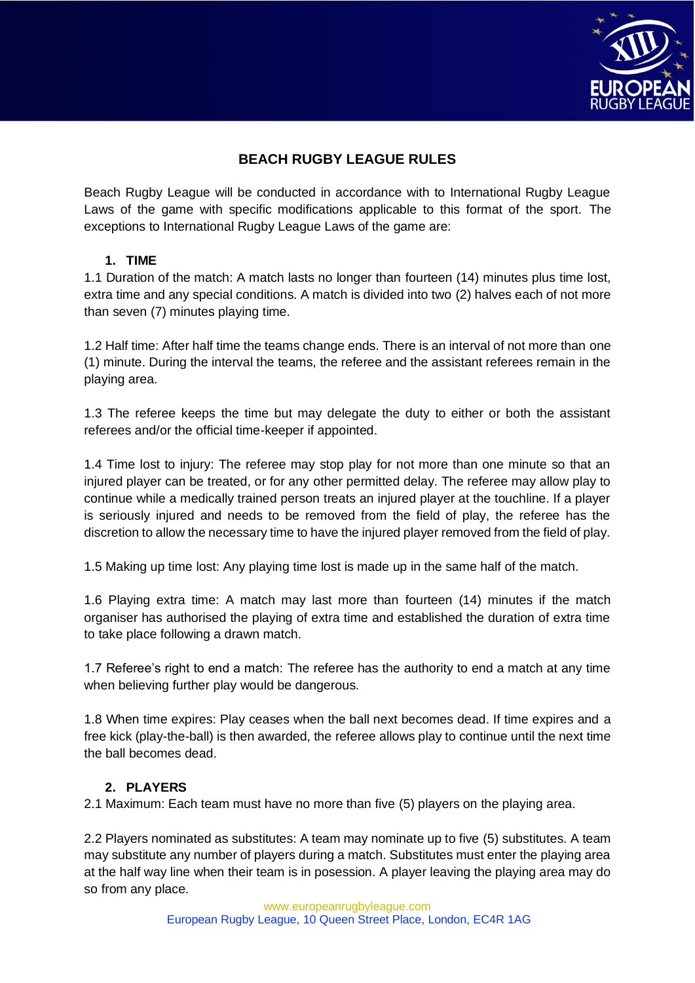

# **BEACH RUGBY LEAGUE RULES**

Beach Rugby League will be conducted in accordance with to International Rugby League Laws of the game with specific modifications applicable to this format of the sport. The exceptions to International Rugby League Laws of the game are:

### **1. TIME**

1.1 Duration of the match: A match lasts no longer than fourteen (14) minutes plus time lost, extra time and any special conditions. A match is divided into two (2) halves each of not more than seven (7) minutes playing time.

1.2 Half time: After half time the teams change ends. There is an interval of not more than one (1) minute. During the interval the teams, the referee and the assistant referees remain in the playing area.

1.3 The referee keeps the time but may delegate the duty to either or both the assistant referees and/or the official time-keeper if appointed.

1.4 Time lost to injury: The referee may stop play for not more than one minute so that an injured player can be treated, or for any other permitted delay. The referee may allow play to continue while a medically trained person treats an injured player at the touchline. If a player is seriously injured and needs to be removed from the field of play, the referee has the discretion to allow the necessary time to have the injured player removed from the field of play.

1.5 Making up time lost: Any playing time lost is made up in the same half of the match.

1.6 Playing extra time: A match may last more than fourteen (14) minutes if the match organiser has authorised the playing of extra time and established the duration of extra time to take place following a drawn match.

1.7 Referee's right to end a match: The referee has the authority to end a match at any time when believing further play would be dangerous.

1.8 When time expires: Play ceases when the ball next becomes dead. If time expires and a free kick (play-the-ball) is then awarded, the referee allows play to continue until the next time the ball becomes dead.

### **2. PLAYERS**

2.1 Maximum: Each team must have no more than five (5) players on the playing area.

2.2 Players nominated as substitutes: A team may nominate up to five (5) substitutes. A team may substitute any number of players during a match. Substitutes must enter the playing area at the half way line when their team is in posession. A player leaving the playing area may do so from any place.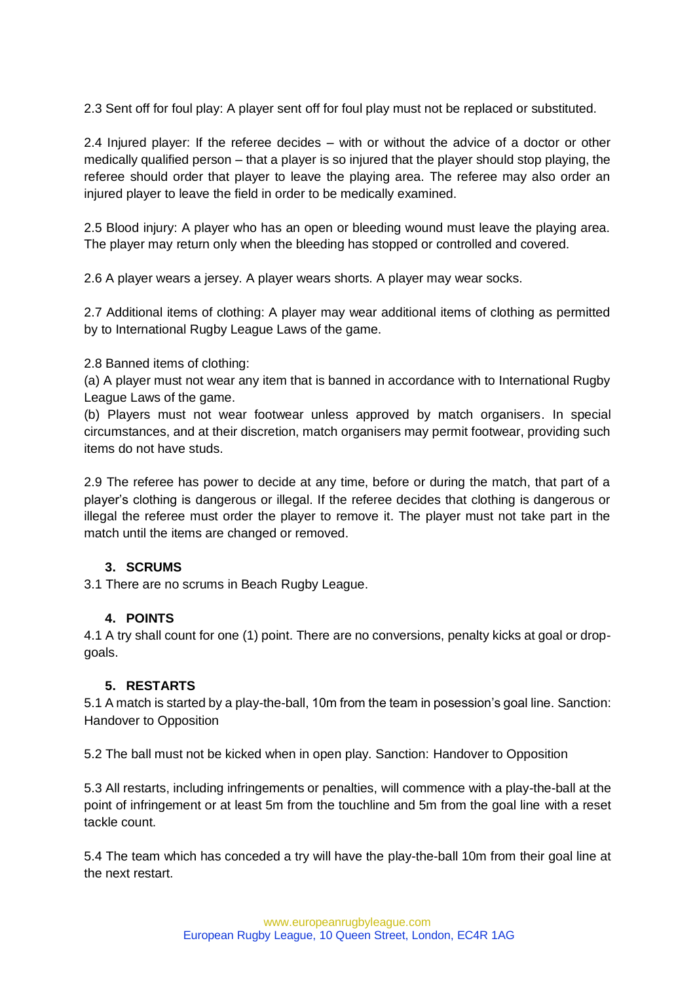2.3 Sent off for foul play: A player sent off for foul play must not be replaced or substituted.

2.4 Injured player: If the referee decides – with or without the advice of a doctor or other medically qualified person – that a player is so injured that the player should stop playing, the referee should order that player to leave the playing area. The referee may also order an injured player to leave the field in order to be medically examined.

2.5 Blood injury: A player who has an open or bleeding wound must leave the playing area. The player may return only when the bleeding has stopped or controlled and covered.

2.6 A player wears a jersey. A player wears shorts. A player may wear socks.

2.7 Additional items of clothing: A player may wear additional items of clothing as permitted by to International Rugby League Laws of the game.

2.8 Banned items of clothing:

(a) A player must not wear any item that is banned in accordance with to International Rugby League Laws of the game.

(b) Players must not wear footwear unless approved by match organisers. In special circumstances, and at their discretion, match organisers may permit footwear, providing such items do not have studs.

2.9 The referee has power to decide at any time, before or during the match, that part of a player's clothing is dangerous or illegal. If the referee decides that clothing is dangerous or illegal the referee must order the player to remove it. The player must not take part in the match until the items are changed or removed.

### **3. SCRUMS**

3.1 There are no scrums in Beach Rugby League.

#### **4. POINTS**

4.1 A try shall count for one (1) point. There are no conversions, penalty kicks at goal or dropgoals.

#### **5. RESTARTS**

5.1 A match is started by a play-the-ball, 10m from the team in posession's goal line. Sanction: Handover to Opposition

5.2 The ball must not be kicked when in open play. Sanction: Handover to Opposition

5.3 All restarts, including infringements or penalties, will commence with a play-the-ball at the point of infringement or at least 5m from the touchline and 5m from the goal line with a reset tackle count.

5.4 The team which has conceded a try will have the play-the-ball 10m from their goal line at the next restart.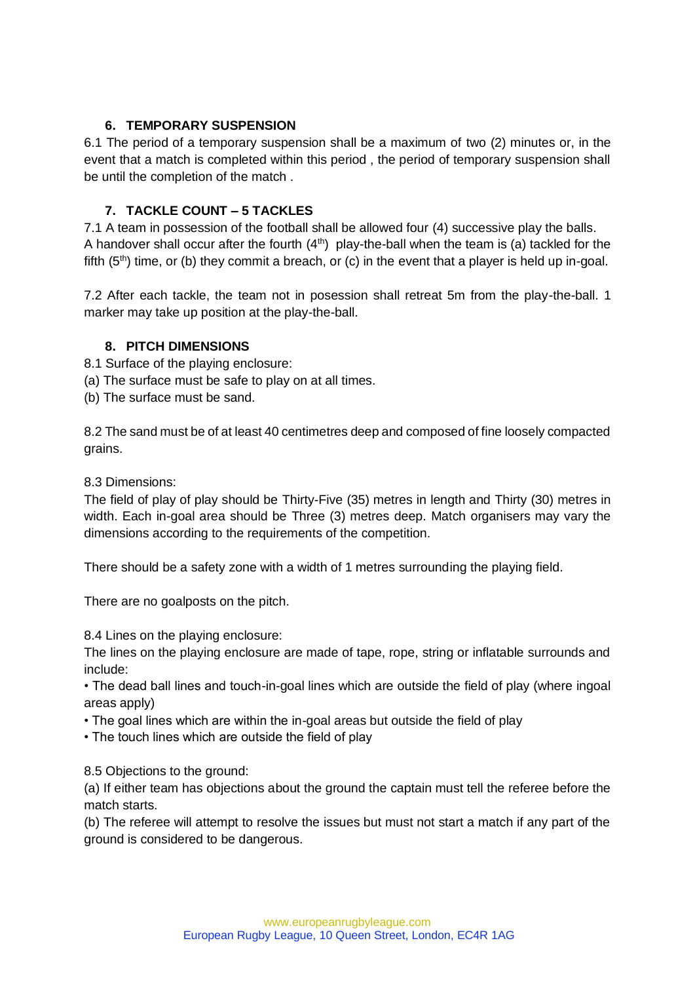### **6. TEMPORARY SUSPENSION**

6.1 The period of a temporary suspension shall be a maximum of two (2) minutes or, in the event that a match is completed within this period , the period of temporary suspension shall be until the completion of the match .

## **7. TACKLE COUNT – 5 TACKLES**

7.1 A team in possession of the football shall be allowed four (4) successive play the balls. A handover shall occur after the fourth  $(4<sup>th</sup>)$  play-the-ball when the team is (a) tackled for the fifth  $(5<sup>th</sup>)$  time, or (b) they commit a breach, or (c) in the event that a player is held up in-goal.

7.2 After each tackle, the team not in posession shall retreat 5m from the play-the-ball. 1 marker may take up position at the play-the-ball.

### **8. PITCH DIMENSIONS**

- 8.1 Surface of the playing enclosure:
- (a) The surface must be safe to play on at all times.
- (b) The surface must be sand.

8.2 The sand must be of at least 40 centimetres deep and composed of fine loosely compacted grains.

8.3 Dimensions:

The field of play of play should be Thirty-Five (35) metres in length and Thirty (30) metres in width. Each in-goal area should be Three (3) metres deep. Match organisers may vary the dimensions according to the requirements of the competition.

There should be a safety zone with a width of 1 metres surrounding the playing field.

There are no goalposts on the pitch.

8.4 Lines on the playing enclosure:

The lines on the playing enclosure are made of tape, rope, string or inflatable surrounds and include:

• The dead ball lines and touch-in-goal lines which are outside the field of play (where ingoal areas apply)

• The goal lines which are within the in-goal areas but outside the field of play

• The touch lines which are outside the field of play

8.5 Objections to the ground:

(a) If either team has objections about the ground the captain must tell the referee before the match starts.

(b) The referee will attempt to resolve the issues but must not start a match if any part of the ground is considered to be dangerous.